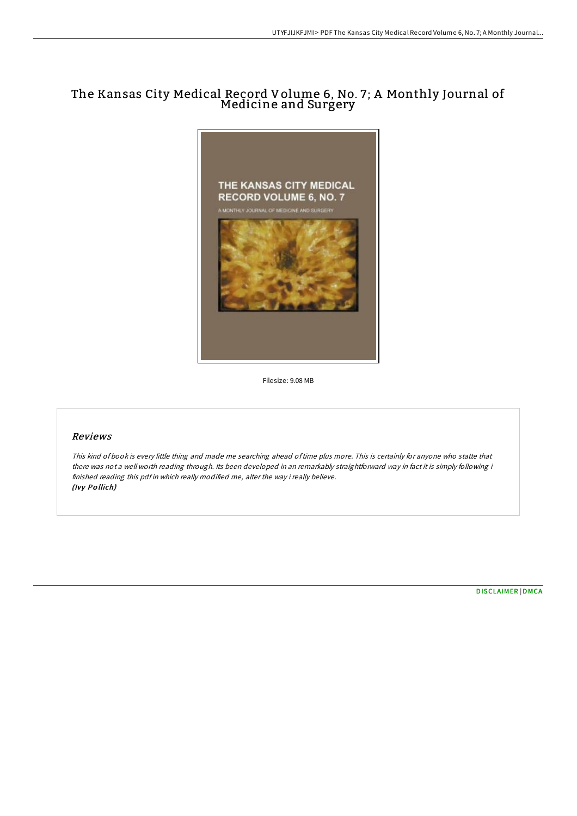## The Kansas City Medical Record Volume 6, No. 7; A Monthly Journal of Medicine and Surgery



Filesize: 9.08 MB

## Reviews

This kind of book is every little thing and made me searching ahead oftime plus more. This is certainly for anyone who statte that there was not <sup>a</sup> well worth reading through. Its been developed in an remarkably straightforward way in fact it is simply following i finished reading this pdf in which really modified me, alter the way i really believe. (Ivy Po llich)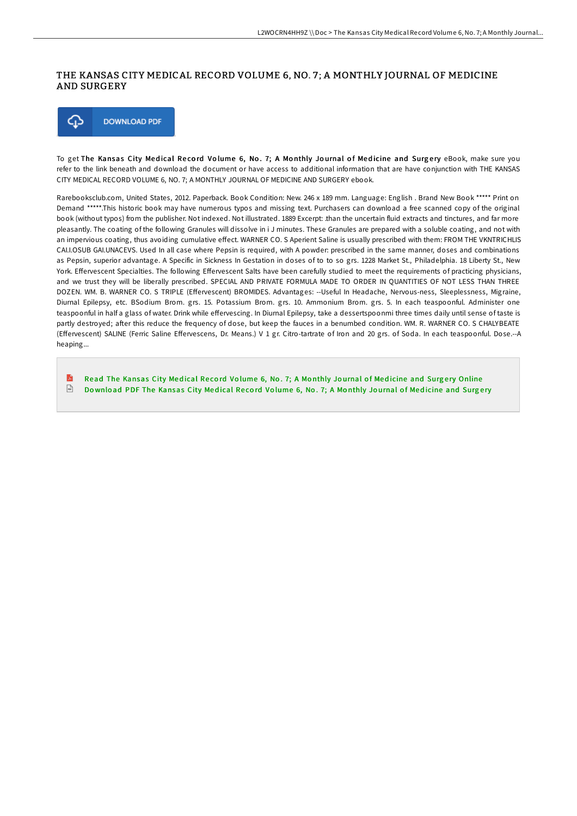## THE KANSAS CITY MEDICAL RECORD VOLUME 6, NO. 7 ; A MONTHLY JOURNAL OF MEDICINE AND SURGERY



To get The Kansas City Medical Record Volume 6, No. 7; A Monthly Journal of Medicine and Surgery eBook, make sure you refer to the link beneath and download the document or have access to additional information that are have conjunction with THE KANSAS CITY MEDICAL RECORD VOLUME 6, NO. 7; A MONTHLY JOURNAL OF MEDICINE AND SURGERY ebook.

Rarebooksclub.com, United States, 2012. Paperback. Book Condition: New. 246 x 189 mm. Language: English . Brand New Book \*\*\*\*\* Print on Demand \*\*\*\*\*.This historic book may have numerous typos and missing text. Purchasers can download a free scanned copy of the original book (without typos) from the publisher. Not indexed. Not illustrated. 1889 Excerpt: .than the uncertain fluid extracts and tinctures, and far more pleasantly. The coating of the following Granules will dissolve in i J minutes. These Granules are prepared with a soluble coating, and not with an impervious coating, thus avoiding cumulative effect. WARNER CO. S Aperient Saline is usually prescribed with them: FROM THE VKNTRICHLIS CAI.I.OSUB GAI.UNACEVS. Used In all case where Pepsin is required, with A powder: prescribed in the same manner, doses and combinations as Pepsin, superior advantage. A Specific in Sickness In Gestation in doses of to to so grs. 1228 Market St., Philadelphia. 18 Liberty St., New York. Effervescent Specialties. The following Effervescent Salts have been carefully studied to meet the requirements of practicing physicians, and we trust they will be liberally prescribed. SPECIAL AND PRIVATE FORMULA MADE TO ORDER IN QUANTITIES OF NOT LESS THAN THREE DOZEN. WM. B. WARNER CO. S TRIPLE (Effervescent) BROMIDES. Advantages: --Useful In Headache, Nervous-ness, Sleeplessness, Migraine, Diurnal Epilepsy, etc. BSodium Brom. grs. 15. Potassium Brom. grs. 10. Ammonium Brom. grs. 5. In each teaspoonful. Administer one teaspoonful in half a glass of water. Drink while effervescing. In Diurnal Epilepsy, take a dessertspoonmi three times daily until sense of taste is partly destroyed; after this reduce the frequency of dose, but keep the fauces in a benumbed condition. WM. R. WARNER CO. S CHALYBEATE (EEervescent) SALINE (Ferric Saline EEervescens, Dr. Means.) V 1 gr. Citro-tartrate of Iron and 20 grs. of Soda. In each teaspoonful. Dose.--A heaping...

E Read The [Kansas](http://almighty24.tech/the-kansas-city-medical-record-volume-6-no-7-a-m.html) City Medical Record Volume 6, No. 7; A Monthly Journal of Medicine and Surgery Online  $\sqrt{1 + \frac{1}{2}}$ Download PDF The [Kansas](http://almighty24.tech/the-kansas-city-medical-record-volume-6-no-7-a-m.html) City Medical Record Volume 6, No. 7; A Monthly Journal of Medicine and Surgery